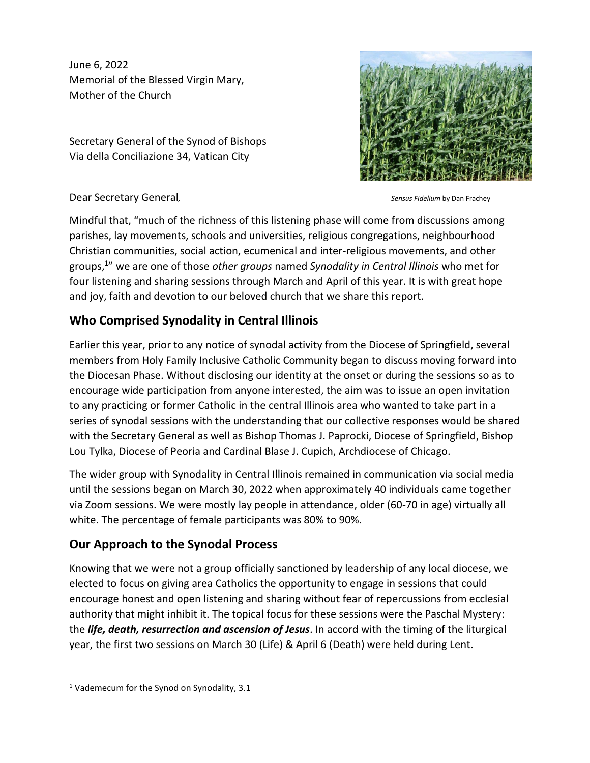June 6, 2022 Memorial of the Blessed Virgin Mary, Mother of the Church

Secretary General of the Synod of Bishops Via della Conciliazione 34, Vatican City



Dear Secretary General, Sensus Fidelium by Dan Frachey Bank Beneral, Sensus Fidelium by Dan Frachey

Mindful that, "much of the richness of this listening phase will come from discussions among parishes, lay movements, schools and universities, religious congregations, neighbourhood Christian communities, social action, ecumenical and inter-religious movements, and other groups, 1 " we are one of those *other groups* named *Synodality in Central Illinois* who met for four listening and sharing sessions through March and April of this year. It is with great hope and joy, faith and devotion to our beloved church that we share this report.

# **Who Comprised Synodality in Central Illinois**

Earlier this year, prior to any notice of synodal activity from the Diocese of Springfield, several members from Holy Family Inclusive Catholic Community began to discuss moving forward into the Diocesan Phase. Without disclosing our identity at the onset or during the sessions so as to encourage wide participation from anyone interested, the aim was to issue an open invitation to any practicing or former Catholic in the central Illinois area who wanted to take part in a series of synodal sessions with the understanding that our collective responses would be shared with the Secretary General as well as Bishop Thomas J. Paprocki, Diocese of Springfield, Bishop Lou Tylka, Diocese of Peoria and Cardinal Blase J. Cupich, Archdiocese of Chicago.

The wider group with Synodality in Central Illinois remained in communication via social media until the sessions began on March 30, 2022 when approximately 40 individuals came together via Zoom sessions. We were mostly lay people in attendance, older (60-70 in age) virtually all white. The percentage of female participants was 80% to 90%.

# **Our Approach to the Synodal Process**

Knowing that we were not a group officially sanctioned by leadership of any local diocese, we elected to focus on giving area Catholics the opportunity to engage in sessions that could encourage honest and open listening and sharing without fear of repercussions from ecclesial authority that might inhibit it. The topical focus for these sessions were the Paschal Mystery: the *life, death, resurrection and ascension of Jesus*. In accord with the timing of the liturgical year, the first two sessions on March 30 (Life) & April 6 (Death) were held during Lent.

<sup>&</sup>lt;sup>1</sup> Vademecum for the Synod on Synodality, 3.1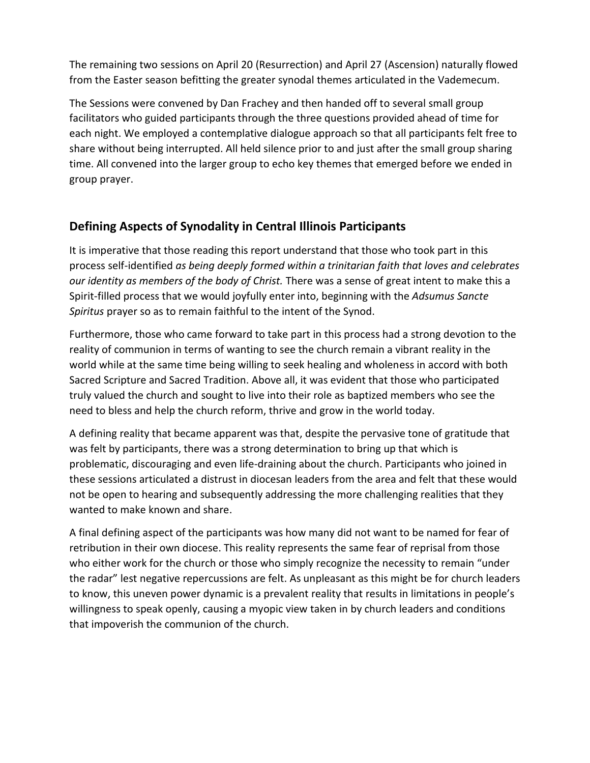The remaining two sessions on April 20 (Resurrection) and April 27 (Ascension) naturally flowed from the Easter season befitting the greater synodal themes articulated in the Vademecum.

The Sessions were convened by Dan Frachey and then handed off to several small group facilitators who guided participants through the three questions provided ahead of time for each night. We employed a contemplative dialogue approach so that all participants felt free to share without being interrupted. All held silence prior to and just after the small group sharing time. All convened into the larger group to echo key themes that emerged before we ended in group prayer.

### **Defining Aspects of Synodality in Central Illinois Participants**

It is imperative that those reading this report understand that those who took part in this process self-identified *as being deeply formed within a trinitarian faith that loves and celebrates our identity as members of the body of Christ.* There was a sense of great intent to make this a Spirit-filled process that we would joyfully enter into, beginning with the *Adsumus Sancte Spiritus* prayer so as to remain faithful to the intent of the Synod.

Furthermore, those who came forward to take part in this process had a strong devotion to the reality of communion in terms of wanting to see the church remain a vibrant reality in the world while at the same time being willing to seek healing and wholeness in accord with both Sacred Scripture and Sacred Tradition. Above all, it was evident that those who participated truly valued the church and sought to live into their role as baptized members who see the need to bless and help the church reform, thrive and grow in the world today.

A defining reality that became apparent was that, despite the pervasive tone of gratitude that was felt by participants, there was a strong determination to bring up that which is problematic, discouraging and even life-draining about the church. Participants who joined in these sessions articulated a distrust in diocesan leaders from the area and felt that these would not be open to hearing and subsequently addressing the more challenging realities that they wanted to make known and share.

A final defining aspect of the participants was how many did not want to be named for fear of retribution in their own diocese. This reality represents the same fear of reprisal from those who either work for the church or those who simply recognize the necessity to remain "under the radar" lest negative repercussions are felt. As unpleasant as this might be for church leaders to know, this uneven power dynamic is a prevalent reality that results in limitations in people's willingness to speak openly, causing a myopic view taken in by church leaders and conditions that impoverish the communion of the church.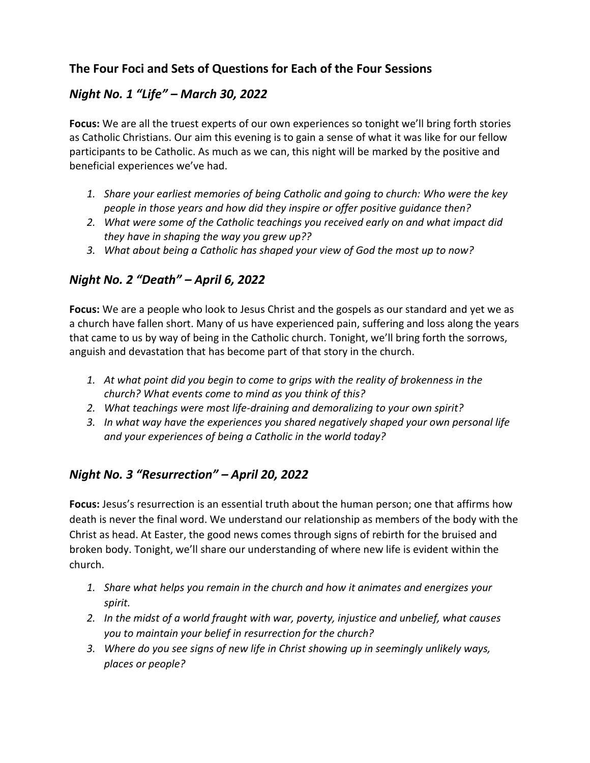# **The Four Foci and Sets of Questions for Each of the Four Sessions**

# *Night No. 1 "Life" – March 30, 2022*

**Focus:** We are all the truest experts of our own experiences so tonight we'll bring forth stories as Catholic Christians. Our aim this evening is to gain a sense of what it was like for our fellow participants to be Catholic. As much as we can, this night will be marked by the positive and beneficial experiences we've had.

- *1. Share your earliest memories of being Catholic and going to church: Who were the key people in those years and how did they inspire or offer positive guidance then?*
- *2. What were some of the Catholic teachings you received early on and what impact did they have in shaping the way you grew up??*
- *3. What about being a Catholic has shaped your view of God the most up to now?*

### *Night No. 2 "Death" – April 6, 2022*

**Focus:** We are a people who look to Jesus Christ and the gospels as our standard and yet we as a church have fallen short. Many of us have experienced pain, suffering and loss along the years that came to us by way of being in the Catholic church. Tonight, we'll bring forth the sorrows, anguish and devastation that has become part of that story in the church.

- *1. At what point did you begin to come to grips with the reality of brokenness in the church? What events come to mind as you think of this?*
- *2. What teachings were most life-draining and demoralizing to your own spirit?*
- *3. In what way have the experiences you shared negatively shaped your own personal life and your experiences of being a Catholic in the world today?*

### *Night No. 3 "Resurrection" – April 20, 2022*

**Focus:** Jesus's resurrection is an essential truth about the human person; one that affirms how death is never the final word. We understand our relationship as members of the body with the Christ as head. At Easter, the good news comes through signs of rebirth for the bruised and broken body. Tonight, we'll share our understanding of where new life is evident within the church.

- *1. Share what helps you remain in the church and how it animates and energizes your spirit.*
- *2. In the midst of a world fraught with war, poverty, injustice and unbelief, what causes you to maintain your belief in resurrection for the church?*
- *3. Where do you see signs of new life in Christ showing up in seemingly unlikely ways, places or people?*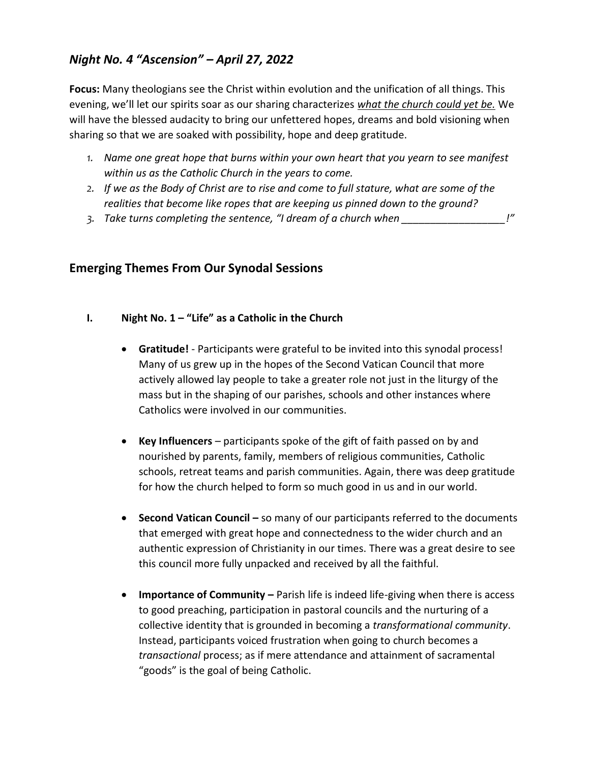# *Night No. 4 "Ascension" – April 27, 2022*

**Focus:** Many theologians see the Christ within evolution and the unification of all things. This evening, we'll let our spirits soar as our sharing characterizes *what the church could yet be.* We will have the blessed audacity to bring our unfettered hopes, dreams and bold visioning when sharing so that we are soaked with possibility, hope and deep gratitude.

- *1. Name one great hope that burns within your own heart that you yearn to see manifest within us as the Catholic Church in the years to come.*
- *2. If we as the Body of Christ are to rise and come to full stature, what are some of the realities that become like ropes that are keeping us pinned down to the ground?*
- *3. Take turns completing the sentence, "I dream of a church when \_\_\_\_\_\_\_\_\_\_\_\_\_\_\_\_\_\_!"*

#### **Emerging Themes From Our Synodal Sessions**

- **I. Night No. 1 – "Life" as a Catholic in the Church** 
	- **Gratitude!** Participants were grateful to be invited into this synodal process! Many of us grew up in the hopes of the Second Vatican Council that more actively allowed lay people to take a greater role not just in the liturgy of the mass but in the shaping of our parishes, schools and other instances where Catholics were involved in our communities.
	- **Key Influencers** participants spoke of the gift of faith passed on by and nourished by parents, family, members of religious communities, Catholic schools, retreat teams and parish communities. Again, there was deep gratitude for how the church helped to form so much good in us and in our world.
	- **Second Vatican Council –** so many of our participants referred to the documents that emerged with great hope and connectedness to the wider church and an authentic expression of Christianity in our times. There was a great desire to see this council more fully unpacked and received by all the faithful.
	- **Importance of Community** Parish life is indeed life-giving when there is access to good preaching, participation in pastoral councils and the nurturing of a collective identity that is grounded in becoming a *transformational community*. Instead, participants voiced frustration when going to church becomes a *transactional* process; as if mere attendance and attainment of sacramental "goods" is the goal of being Catholic.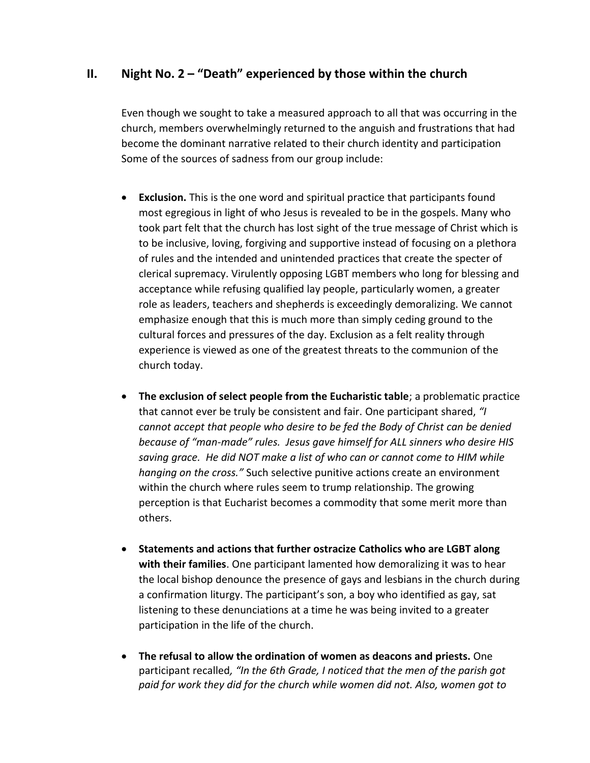#### **II. Night No. 2 – "Death" experienced by those within the church**

Even though we sought to take a measured approach to all that was occurring in the church, members overwhelmingly returned to the anguish and frustrations that had become the dominant narrative related to their church identity and participation Some of the sources of sadness from our group include:

- **Exclusion.** This is the one word and spiritual practice that participants found most egregious in light of who Jesus is revealed to be in the gospels. Many who took part felt that the church has lost sight of the true message of Christ which is to be inclusive, loving, forgiving and supportive instead of focusing on a plethora of rules and the intended and unintended practices that create the specter of clerical supremacy. Virulently opposing LGBT members who long for blessing and acceptance while refusing qualified lay people, particularly women, a greater role as leaders, teachers and shepherds is exceedingly demoralizing. We cannot emphasize enough that this is much more than simply ceding ground to the cultural forces and pressures of the day. Exclusion as a felt reality through experience is viewed as one of the greatest threats to the communion of the church today.
- **The exclusion of select people from the Eucharistic table**; a problematic practice that cannot ever be truly be consistent and fair. One participant shared, *"I cannot accept that people who desire to be fed the Body of Christ can be denied because of "man-made" rules. Jesus gave himself for ALL sinners who desire HIS saving grace. He did NOT make a list of who can or cannot come to HIM while hanging on the cross."* Such selective punitive actions create an environment within the church where rules seem to trump relationship. The growing perception is that Eucharist becomes a commodity that some merit more than others.
- **Statements and actions that further ostracize Catholics who are LGBT along with their families**. One participant lamented how demoralizing it was to hear the local bishop denounce the presence of gays and lesbians in the church during a confirmation liturgy. The participant's son, a boy who identified as gay, sat listening to these denunciations at a time he was being invited to a greater participation in the life of the church.
- **The refusal to allow the ordination of women as deacons and priests.** One participant recalled*, "In the 6th Grade, I noticed that the men of the parish got paid for work they did for the church while women did not. Also, women got to*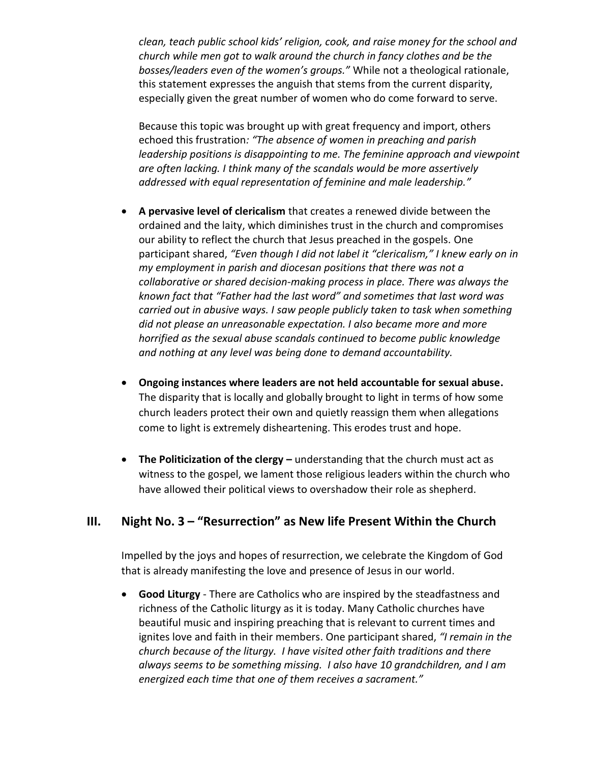*clean, teach public school kids' religion, cook, and raise money for the school and church while men got to walk around the church in fancy clothes and be the bosses/leaders even of the women's groups."* While not a theological rationale, this statement expresses the anguish that stems from the current disparity, especially given the great number of women who do come forward to serve.

Because this topic was brought up with great frequency and import, others echoed this frustration*: "The absence of women in preaching and parish leadership positions is disappointing to me. The feminine approach and viewpoint are often lacking. I think many of the scandals would be more assertively addressed with equal representation of feminine and male leadership."*

- **A pervasive level of clericalism** that creates a renewed divide between the ordained and the laity, which diminishes trust in the church and compromises our ability to reflect the church that Jesus preached in the gospels. One participant shared, "Even though I did not label it "clericalism," I knew early on in *my employment in parish and diocesan positions that there was not a collaborative or shared decision-making process in place. There was always the known fact that "Father had the last word" and sometimes that last word was carried out in abusive ways. I saw people publicly taken to task when something did not please an unreasonable expectation. I also became more and more horrified as the sexual abuse scandals continued to become public knowledge and nothing at any level was being done to demand accountability.*
- **Ongoing instances where leaders are not held accountable for sexual abuse.**  The disparity that is locally and globally brought to light in terms of how some church leaders protect their own and quietly reassign them when allegations come to light is extremely disheartening. This erodes trust and hope.
- **The Politicization of the clergy –** understanding that the church must act as witness to the gospel, we lament those religious leaders within the church who have allowed their political views to overshadow their role as shepherd.

#### **III. Night No. 3 – "Resurrection" as New life Present Within the Church**

Impelled by the joys and hopes of resurrection, we celebrate the Kingdom of God that is already manifesting the love and presence of Jesus in our world.

• **Good Liturgy** - There are Catholics who are inspired by the steadfastness and richness of the Catholic liturgy as it is today. Many Catholic churches have beautiful music and inspiring preaching that is relevant to current times and ignites love and faith in their members. One participant shared, *"I remain in the church because of the liturgy. I have visited other faith traditions and there always seems to be something missing. I also have 10 grandchildren, and I am energized each time that one of them receives a sacrament."*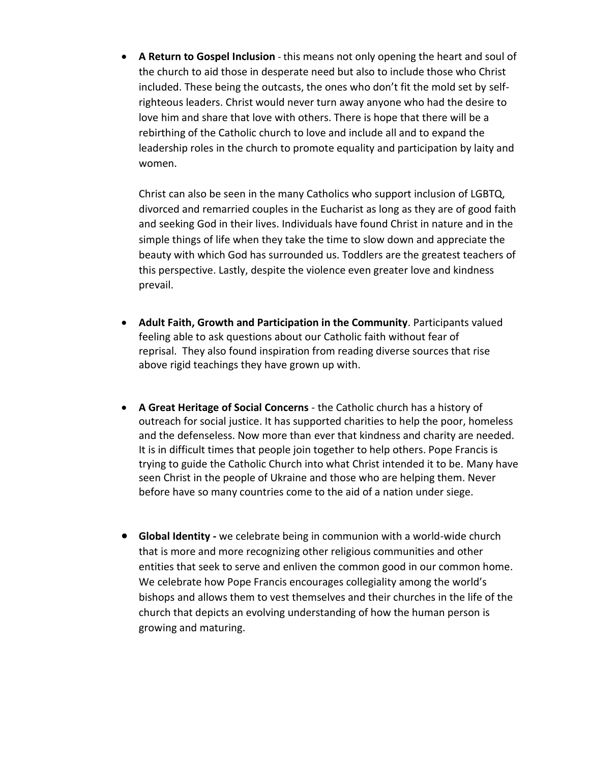• **A Return to Gospel Inclusion** - this means not only opening the heart and soul of the church to aid those in desperate need but also to include those who Christ included. These being the outcasts, the ones who don't fit the mold set by selfrighteous leaders. Christ would never turn away anyone who had the desire to love him and share that love with others. There is hope that there will be a rebirthing of the Catholic church to love and include all and to expand the leadership roles in the church to promote equality and participation by laity and women.

Christ can also be seen in the many Catholics who support inclusion of LGBTQ, divorced and remarried couples in the Eucharist as long as they are of good faith and seeking God in their lives. Individuals have found Christ in nature and in the simple things of life when they take the time to slow down and appreciate the beauty with which God has surrounded us. Toddlers are the greatest teachers of this perspective. Lastly, despite the violence even greater love and kindness prevail.

- **Adult Faith, Growth and Participation in the Community**. Participants valued feeling able to ask questions about our Catholic faith without fear of reprisal. They also found inspiration from reading diverse sources that rise above rigid teachings they have grown up with.
- **A Great Heritage of Social Concerns** the Catholic church has a history of outreach for social justice. It has supported charities to help the poor, homeless and the defenseless. Now more than ever that kindness and charity are needed. It is in difficult times that people join together to help others. Pope Francis is trying to guide the Catholic Church into what Christ intended it to be. Many have seen Christ in the people of Ukraine and those who are helping them. Never before have so many countries come to the aid of a nation under siege.
- **Global Identity -** we celebrate being in communion with a world-wide church that is more and more recognizing other religious communities and other entities that seek to serve and enliven the common good in our common home. We celebrate how Pope Francis encourages collegiality among the world's bishops and allows them to vest themselves and their churches in the life of the church that depicts an evolving understanding of how the human person is growing and maturing.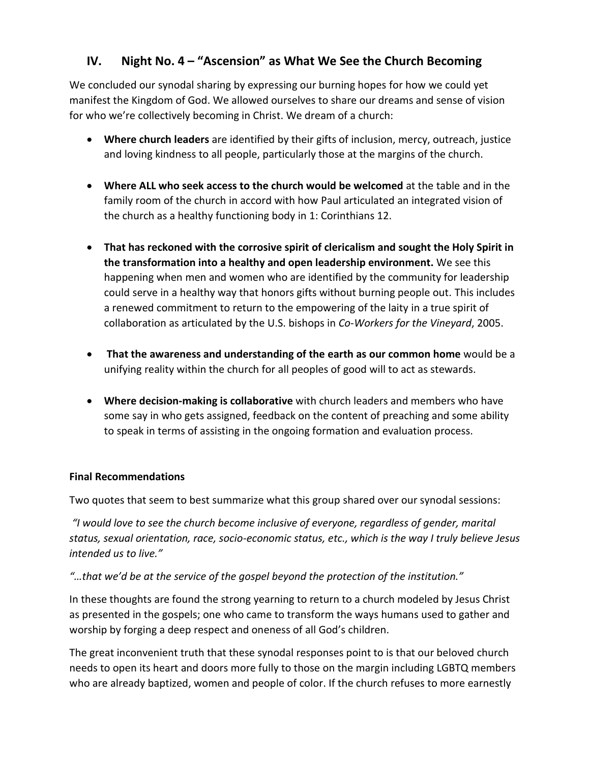### **IV. Night No. 4 – "Ascension" as What We See the Church Becoming**

We concluded our synodal sharing by expressing our burning hopes for how we could yet manifest the Kingdom of God. We allowed ourselves to share our dreams and sense of vision for who we're collectively becoming in Christ. We dream of a church:

- **Where church leaders** are identified by their gifts of inclusion, mercy, outreach, justice and loving kindness to all people, particularly those at the margins of the church.
- **Where ALL who seek access to the church would be welcomed** at the table and in the family room of the church in accord with how Paul articulated an integrated vision of the church as a healthy functioning body in 1: Corinthians 12.
- **That has reckoned with the corrosive spirit of clericalism and sought the Holy Spirit in the transformation into a healthy and open leadership environment.** We see this happening when men and women who are identified by the community for leadership could serve in a healthy way that honors gifts without burning people out. This includes a renewed commitment to return to the empowering of the laity in a true spirit of collaboration as articulated by the U.S. bishops in *Co-Workers for the Vineyard*, 2005.
- **That the awareness and understanding of the earth as our common home** would be a unifying reality within the church for all peoples of good will to act as stewards.
- **Where decision-making is collaborative** with church leaders and members who have some say in who gets assigned, feedback on the content of preaching and some ability to speak in terms of assisting in the ongoing formation and evaluation process.

#### **Final Recommendations**

Two quotes that seem to best summarize what this group shared over our synodal sessions:

*"I would love to see the church become inclusive of everyone, regardless of gender, marital status, sexual orientation, race, socio-economic status, etc., which is the way I truly believe Jesus intended us to live."*

*"…that we'd be at the service of the gospel beyond the protection of the institution."* 

In these thoughts are found the strong yearning to return to a church modeled by Jesus Christ as presented in the gospels; one who came to transform the ways humans used to gather and worship by forging a deep respect and oneness of all God's children.

The great inconvenient truth that these synodal responses point to is that our beloved church needs to open its heart and doors more fully to those on the margin including LGBTQ members who are already baptized, women and people of color. If the church refuses to more earnestly